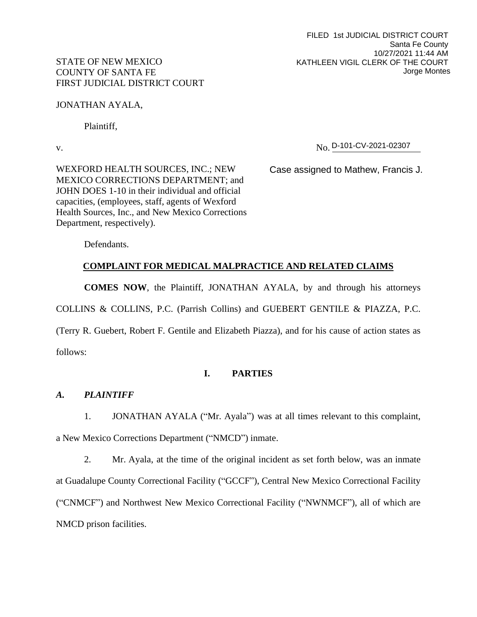## STATE OF NEW MEXICO COUNTY OF SANTA FE FIRST JUDICIAL DISTRICT COURT

JONATHAN AYALA,

Plaintiff,

v. No. No. D-101-CV-2021-02307

WEXFORD HEALTH SOURCES, INC.; NEW MEXICO CORRECTIONS DEPARTMENT; and JOHN DOES 1-10 in their individual and official capacities, (employees, staff, agents of Wexford Health Sources, Inc., and New Mexico Corrections Department, respectively).

Case assigned to Mathew, Francis J.

Defendants.

# **COMPLAINT FOR MEDICAL MALPRACTICE AND RELATED CLAIMS**

**COMES NOW**, the Plaintiff, JONATHAN AYALA, by and through his attorneys

COLLINS & COLLINS, P.C. (Parrish Collins) and GUEBERT GENTILE & PIAZZA, P.C.

(Terry R. Guebert, Robert F. Gentile and Elizabeth Piazza), and for his cause of action states as

follows:

# **I. PARTIES**

## *A. PLAINTIFF*

1. JONATHAN AYALA ("Mr. Ayala") was at all times relevant to this complaint, a New Mexico Corrections Department ("NMCD") inmate.

2. Mr. Ayala, at the time of the original incident as set forth below, was an inmate at Guadalupe County Correctional Facility ("GCCF"), Central New Mexico Correctional Facility ("CNMCF") and Northwest New Mexico Correctional Facility ("NWNMCF"), all of which are NMCD prison facilities.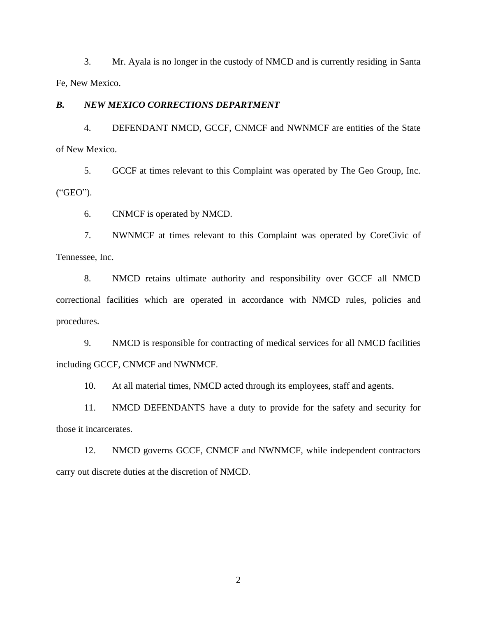3. Mr. Ayala is no longer in the custody of NMCD and is currently residing in Santa Fe, New Mexico.

## *B. NEW MEXICO CORRECTIONS DEPARTMENT*

4. DEFENDANT NMCD, GCCF, CNMCF and NWNMCF are entities of the State of New Mexico.

5. GCCF at times relevant to this Complaint was operated by The Geo Group, Inc. ("GEO").

6. CNMCF is operated by NMCD.

7. NWNMCF at times relevant to this Complaint was operated by CoreCivic of Tennessee, Inc.

8. NMCD retains ultimate authority and responsibility over GCCF all NMCD correctional facilities which are operated in accordance with NMCD rules, policies and procedures.

9. NMCD is responsible for contracting of medical services for all NMCD facilities including GCCF, CNMCF and NWNMCF.

10. At all material times, NMCD acted through its employees, staff and agents.

11. NMCD DEFENDANTS have a duty to provide for the safety and security for those it incarcerates.

12. NMCD governs GCCF, CNMCF and NWNMCF, while independent contractors carry out discrete duties at the discretion of NMCD.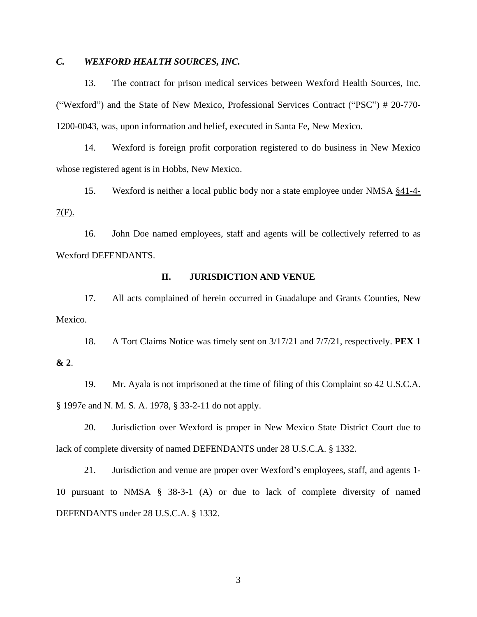## *C. WEXFORD HEALTH SOURCES, INC.*

13. The contract for prison medical services between Wexford Health Sources, Inc. ("Wexford") and the State of New Mexico, Professional Services Contract ("PSC") # 20-770- 1200-0043, was, upon information and belief, executed in Santa Fe, New Mexico.

14. Wexford is foreign profit corporation registered to do business in New Mexico whose registered agent is in Hobbs, New Mexico.

15. Wexford is neither a local public body nor a state employee under NMSA §41-4-  $7(F)$ .

16. John Doe named employees, staff and agents will be collectively referred to as Wexford DEFENDANTS.

#### **II. JURISDICTION AND VENUE**

17. All acts complained of herein occurred in Guadalupe and Grants Counties, New Mexico.

18. A Tort Claims Notice was timely sent on 3/17/21 and 7/7/21, respectively. **PEX 1 & 2**.

19. Mr. Ayala is not imprisoned at the time of filing of this Complaint so 42 U.S.C.A. § 1997e and N. M. S. A. 1978, § 33-2-11 do not apply.

20. Jurisdiction over Wexford is proper in New Mexico State District Court due to lack of complete diversity of named DEFENDANTS under 28 U.S.C.A. § 1332.

21. Jurisdiction and venue are proper over Wexford's employees, staff, and agents 1- 10 pursuant to NMSA § 38-3-1 (A) or due to lack of complete diversity of named DEFENDANTS under 28 U.S.C.A. § 1332.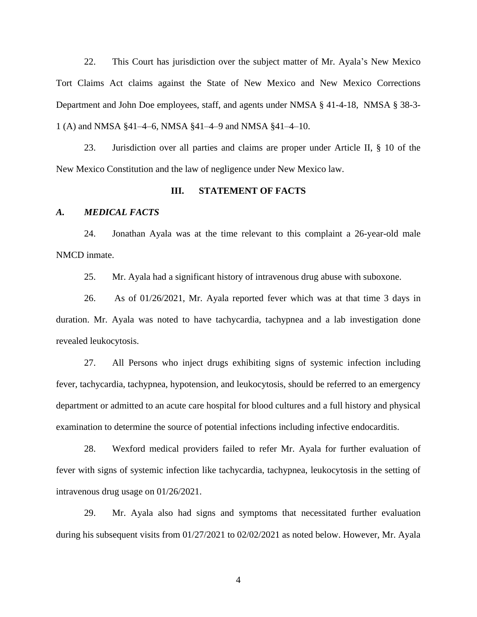22. This Court has jurisdiction over the subject matter of Mr. Ayala's New Mexico Tort Claims Act claims against the State of New Mexico and New Mexico Corrections Department and John Doe employees, staff, and agents under NMSA § 41-4-18, NMSA § 38-3- 1 (A) and NMSA §41–4–6, NMSA §41–4–9 and NMSA §41–4–10.

23. Jurisdiction over all parties and claims are proper under Article II, § 10 of the New Mexico Constitution and the law of negligence under New Mexico law.

#### **III. STATEMENT OF FACTS**

#### *A. MEDICAL FACTS*

24. Jonathan Ayala was at the time relevant to this complaint a 26-year-old male NMCD inmate.

25. Mr. Ayala had a significant history of intravenous drug abuse with suboxone.

26. As of 01/26/2021, Mr. Ayala reported fever which was at that time 3 days in duration. Mr. Ayala was noted to have tachycardia, tachypnea and a lab investigation done revealed leukocytosis.

27. All Persons who inject drugs exhibiting signs of systemic infection including fever, tachycardia, tachypnea, hypotension, and leukocytosis, should be referred to an emergency department or admitted to an acute care hospital for blood cultures and a full history and physical examination to determine the source of potential infections including infective endocarditis.

28. Wexford medical providers failed to refer Mr. Ayala for further evaluation of fever with signs of systemic infection like tachycardia, tachypnea, leukocytosis in the setting of intravenous drug usage on 01/26/2021.

29. Mr. Ayala also had signs and symptoms that necessitated further evaluation during his subsequent visits from 01/27/2021 to 02/02/2021 as noted below. However, Mr. Ayala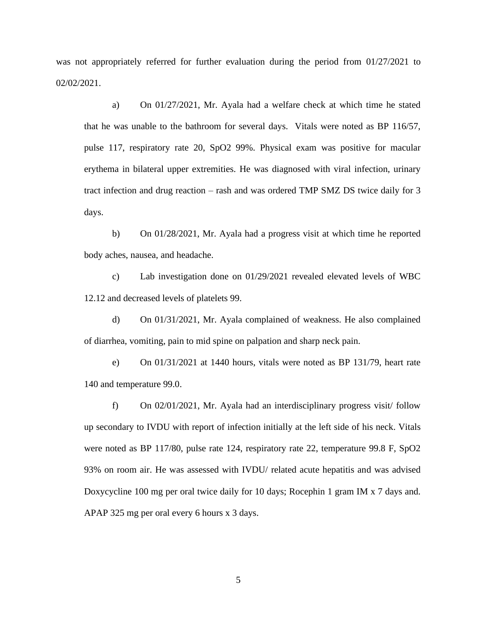was not appropriately referred for further evaluation during the period from 01/27/2021 to 02/02/2021.

a) On 01/27/2021, Mr. Ayala had a welfare check at which time he stated that he was unable to the bathroom for several days. Vitals were noted as BP 116/57, pulse 117, respiratory rate 20, SpO2 99%. Physical exam was positive for macular erythema in bilateral upper extremities. He was diagnosed with viral infection, urinary tract infection and drug reaction – rash and was ordered TMP SMZ DS twice daily for 3 days.

b) On 01/28/2021, Mr. Ayala had a progress visit at which time he reported body aches, nausea, and headache.

c) Lab investigation done on 01/29/2021 revealed elevated levels of WBC 12.12 and decreased levels of platelets 99.

d) On 01/31/2021, Mr. Ayala complained of weakness. He also complained of diarrhea, vomiting, pain to mid spine on palpation and sharp neck pain.

e) On 01/31/2021 at 1440 hours, vitals were noted as BP 131/79, heart rate 140 and temperature 99.0.

f) On 02/01/2021, Mr. Ayala had an interdisciplinary progress visit/ follow up secondary to IVDU with report of infection initially at the left side of his neck. Vitals were noted as BP 117/80, pulse rate 124, respiratory rate 22, temperature 99.8 F, SpO2 93% on room air. He was assessed with IVDU/ related acute hepatitis and was advised Doxycycline 100 mg per oral twice daily for 10 days; Rocephin 1 gram IM x 7 days and. APAP 325 mg per oral every 6 hours x 3 days.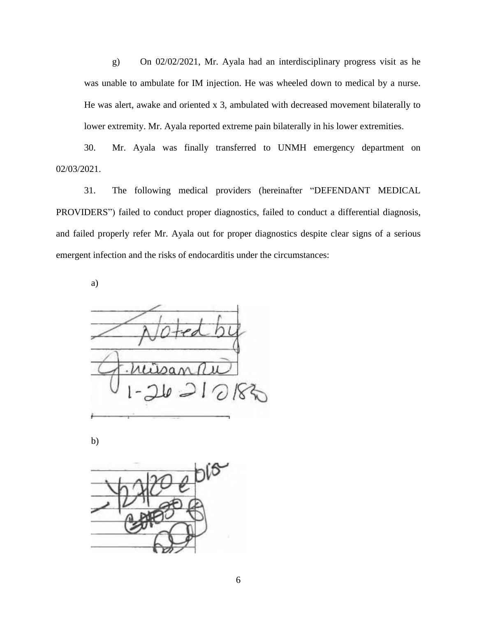g) On 02/02/2021, Mr. Ayala had an interdisciplinary progress visit as he was unable to ambulate for IM injection. He was wheeled down to medical by a nurse. He was alert, awake and oriented x 3, ambulated with decreased movement bilaterally to lower extremity. Mr. Ayala reported extreme pain bilaterally in his lower extremities.

30. Mr. Ayala was finally transferred to UNMH emergency department on 02/03/2021.

31. The following medical providers (hereinafter "DEFENDANT MEDICAL PROVIDERS") failed to conduct proper diagnostics, failed to conduct a differential diagnosis, and failed properly refer Mr. Ayala out for proper diagnostics despite clear signs of a serious emergent infection and the risks of endocarditis under the circumstances:

a)

b)

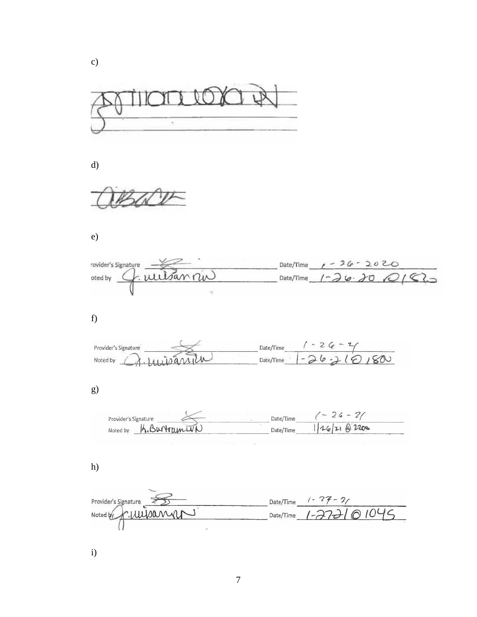

 $\mathbf{d}$ 

c

 $W$ 

 $e)$ 

| $\epsilon$ )                                 |                                                       |
|----------------------------------------------|-------------------------------------------------------|
| rovider's Signature<br>nan<br>oted by<br>ij. | $1 - 26 - 2020$<br>Date/Time<br>Date/Time $1 - 26.20$ |
| f)                                           |                                                       |
| Provider's Signature<br>Noted by             | $-2$<br>Date/Time<br>Date/Time                        |
| g)                                           |                                                       |

| S |  |  |  |
|---|--|--|--|
|   |  |  |  |
|   |  |  |  |
|   |  |  |  |

| Provider's Signature | Date/Time | $\overline{\phantom{a}}$ |
|----------------------|-----------|--------------------------|
| Noted by             | Date/Time |                          |

 $g)$ 

| Provider's Signature | $26 - 71$<br>Date/Time |
|----------------------|------------------------|
| K.BurtramIVN         | 1262102200             |
| Noted by             | Date/Time              |

h)

| Provider's Signature | Date/Time $( - 27 - 2)$     |  |
|----------------------|-----------------------------|--|
| Noted by K. WUSann   | Date/Time $1 - 27 - 101046$ |  |
|                      |                             |  |

i)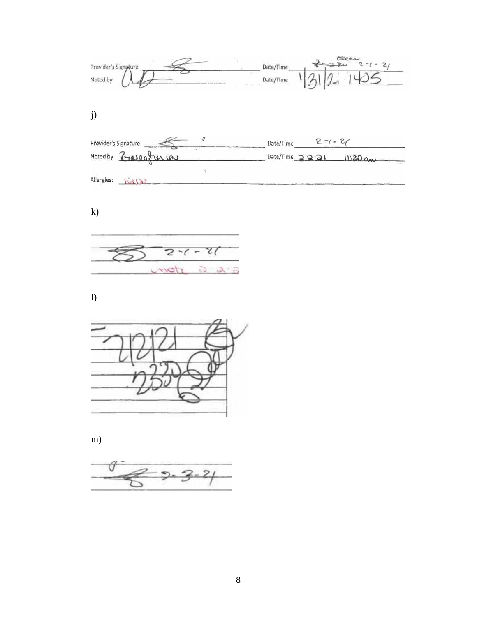$\frac{c^{\frac{1}{2}}}{21}$  1405  $\mathscr{L}_{\mathcal{S}}$ Date/Time Provider's Signature Noted by Date/Time

j)

| Provider's Signature    | $2 - 1 - 21$<br>Date/Time     |
|-------------------------|-------------------------------|
| Noted by Zrasoafrer LAU | Date/Time 22221<br>$11.30$ am |
|                         |                               |
| Allergies:              |                               |

k)



l)



m)

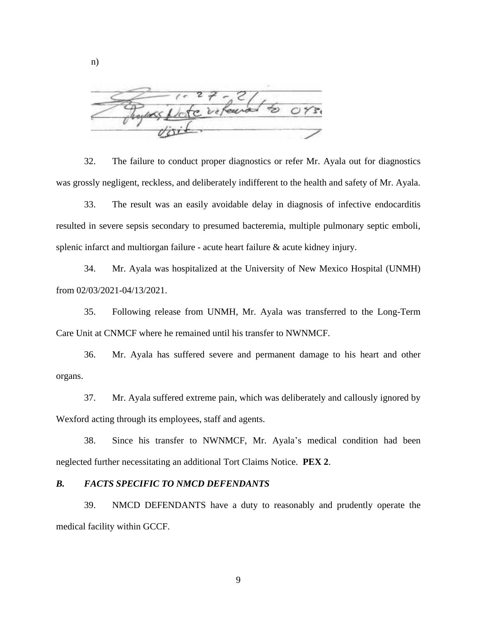white

32. The failure to conduct proper diagnostics or refer Mr. Ayala out for diagnostics was grossly negligent, reckless, and deliberately indifferent to the health and safety of Mr. Ayala.

33. The result was an easily avoidable delay in diagnosis of infective endocarditis resulted in severe sepsis secondary to presumed bacteremia, multiple pulmonary septic emboli, splenic infarct and multiorgan failure - acute heart failure & acute kidney injury.

34. Mr. Ayala was hospitalized at the University of New Mexico Hospital (UNMH) from 02/03/2021-04/13/2021.

35. Following release from UNMH, Mr. Ayala was transferred to the Long-Term Care Unit at CNMCF where he remained until his transfer to NWNMCF.

36. Mr. Ayala has suffered severe and permanent damage to his heart and other organs.

37. Mr. Ayala suffered extreme pain, which was deliberately and callously ignored by Wexford acting through its employees, staff and agents.

38. Since his transfer to NWNMCF, Mr. Ayala's medical condition had been neglected further necessitating an additional Tort Claims Notice. **PEX 2**.

### *B. FACTS SPECIFIC TO NMCD DEFENDANTS*

39. NMCD DEFENDANTS have a duty to reasonably and prudently operate the medical facility within GCCF.

n)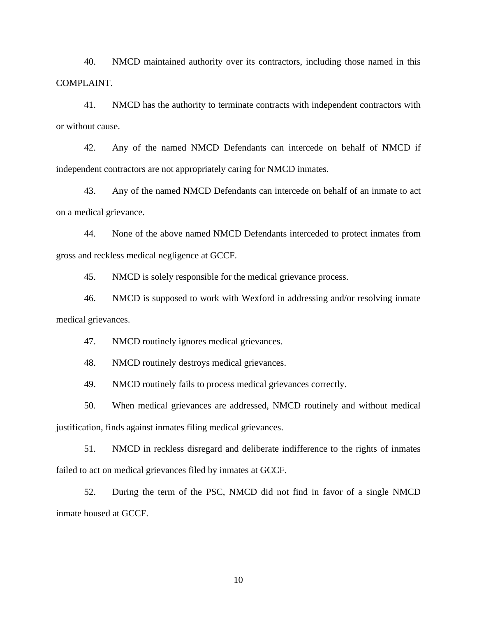40. NMCD maintained authority over its contractors, including those named in this COMPLAINT.

41. NMCD has the authority to terminate contracts with independent contractors with or without cause.

42. Any of the named NMCD Defendants can intercede on behalf of NMCD if independent contractors are not appropriately caring for NMCD inmates.

43. Any of the named NMCD Defendants can intercede on behalf of an inmate to act on a medical grievance.

44. None of the above named NMCD Defendants interceded to protect inmates from gross and reckless medical negligence at GCCF.

45. NMCD is solely responsible for the medical grievance process.

46. NMCD is supposed to work with Wexford in addressing and/or resolving inmate medical grievances.

47. NMCD routinely ignores medical grievances.

48. NMCD routinely destroys medical grievances.

49. NMCD routinely fails to process medical grievances correctly.

50. When medical grievances are addressed, NMCD routinely and without medical justification, finds against inmates filing medical grievances.

51. NMCD in reckless disregard and deliberate indifference to the rights of inmates failed to act on medical grievances filed by inmates at GCCF.

52. During the term of the PSC, NMCD did not find in favor of a single NMCD inmate housed at GCCF.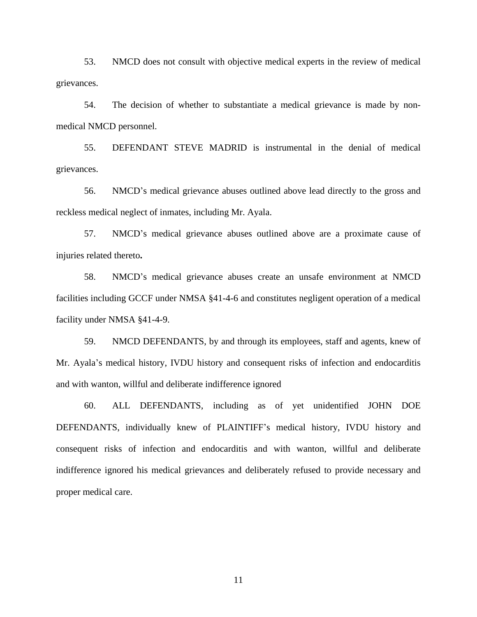53. NMCD does not consult with objective medical experts in the review of medical grievances.

54. The decision of whether to substantiate a medical grievance is made by nonmedical NMCD personnel.

55. DEFENDANT STEVE MADRID is instrumental in the denial of medical grievances.

56. NMCD's medical grievance abuses outlined above lead directly to the gross and reckless medical neglect of inmates, including Mr. Ayala.

57. NMCD's medical grievance abuses outlined above are a proximate cause of injuries related thereto**.**

58. NMCD's medical grievance abuses create an unsafe environment at NMCD facilities including GCCF under NMSA §41-4-6 and constitutes negligent operation of a medical facility under NMSA §41-4-9.

59. NMCD DEFENDANTS, by and through its employees, staff and agents, knew of Mr. Ayala's medical history, IVDU history and consequent risks of infection and endocarditis and with wanton, willful and deliberate indifference ignored

60. ALL DEFENDANTS, including as of yet unidentified JOHN DOE DEFENDANTS, individually knew of PLAINTIFF's medical history, IVDU history and consequent risks of infection and endocarditis and with wanton, willful and deliberate indifference ignored his medical grievances and deliberately refused to provide necessary and proper medical care.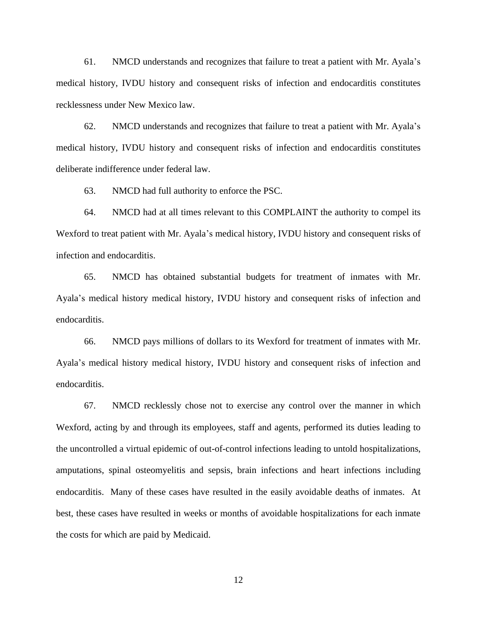61. NMCD understands and recognizes that failure to treat a patient with Mr. Ayala's medical history, IVDU history and consequent risks of infection and endocarditis constitutes recklessness under New Mexico law.

62. NMCD understands and recognizes that failure to treat a patient with Mr. Ayala's medical history, IVDU history and consequent risks of infection and endocarditis constitutes deliberate indifference under federal law.

63. NMCD had full authority to enforce the PSC.

64. NMCD had at all times relevant to this COMPLAINT the authority to compel its Wexford to treat patient with Mr. Ayala's medical history, IVDU history and consequent risks of infection and endocarditis.

65. NMCD has obtained substantial budgets for treatment of inmates with Mr. Ayala's medical history medical history, IVDU history and consequent risks of infection and endocarditis.

66. NMCD pays millions of dollars to its Wexford for treatment of inmates with Mr. Ayala's medical history medical history, IVDU history and consequent risks of infection and endocarditis.

67. NMCD recklessly chose not to exercise any control over the manner in which Wexford, acting by and through its employees, staff and agents, performed its duties leading to the uncontrolled a virtual epidemic of out-of-control infections leading to untold hospitalizations, amputations, spinal osteomyelitis and sepsis, brain infections and heart infections including endocarditis. Many of these cases have resulted in the easily avoidable deaths of inmates. At best, these cases have resulted in weeks or months of avoidable hospitalizations for each inmate the costs for which are paid by Medicaid.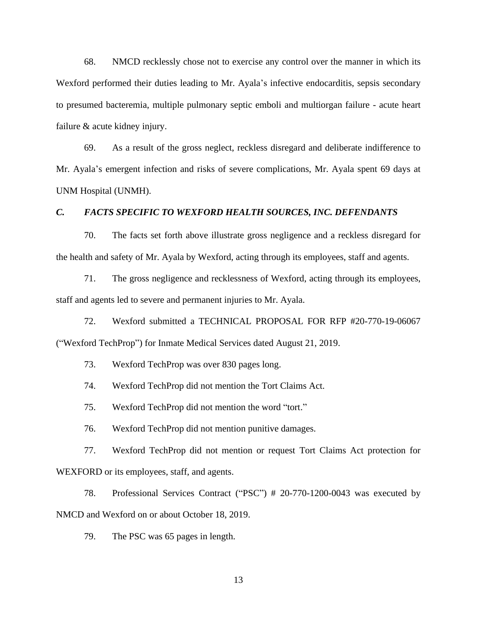68. NMCD recklessly chose not to exercise any control over the manner in which its Wexford performed their duties leading to Mr. Ayala's infective endocarditis, sepsis secondary to presumed bacteremia, multiple pulmonary septic emboli and multiorgan failure - acute heart failure & acute kidney injury.

69. As a result of the gross neglect, reckless disregard and deliberate indifference to Mr. Ayala's emergent infection and risks of severe complications, Mr. Ayala spent 69 days at UNM Hospital (UNMH).

#### *C. FACTS SPECIFIC TO WEXFORD HEALTH SOURCES, INC. DEFENDANTS*

70. The facts set forth above illustrate gross negligence and a reckless disregard for the health and safety of Mr. Ayala by Wexford, acting through its employees, staff and agents.

71. The gross negligence and recklessness of Wexford, acting through its employees, staff and agents led to severe and permanent injuries to Mr. Ayala.

72. Wexford submitted a TECHNICAL PROPOSAL FOR RFP #20-770-19-06067 ("Wexford TechProp") for Inmate Medical Services dated August 21, 2019.

73. Wexford TechProp was over 830 pages long.

74. Wexford TechProp did not mention the Tort Claims Act.

75. Wexford TechProp did not mention the word "tort."

76. Wexford TechProp did not mention punitive damages.

77. Wexford TechProp did not mention or request Tort Claims Act protection for WEXFORD or its employees, staff, and agents.

78. Professional Services Contract ("PSC") # 20-770-1200-0043 was executed by NMCD and Wexford on or about October 18, 2019.

79. The PSC was 65 pages in length.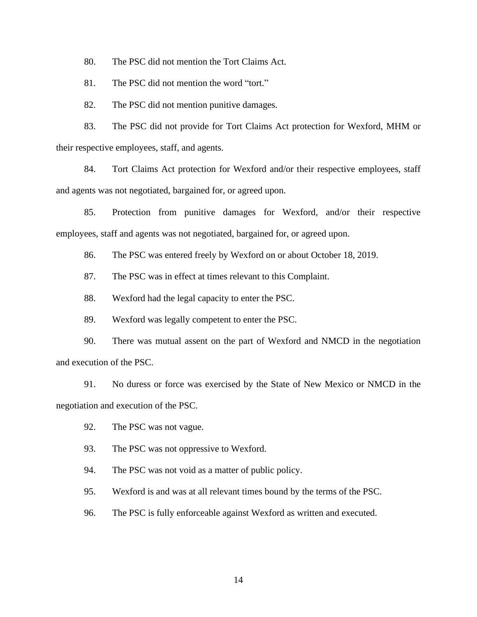80. The PSC did not mention the Tort Claims Act.

81. The PSC did not mention the word "tort."

82. The PSC did not mention punitive damages.

83. The PSC did not provide for Tort Claims Act protection for Wexford, MHM or their respective employees, staff, and agents.

84. Tort Claims Act protection for Wexford and/or their respective employees, staff and agents was not negotiated, bargained for, or agreed upon.

85. Protection from punitive damages for Wexford, and/or their respective employees, staff and agents was not negotiated, bargained for, or agreed upon.

86. The PSC was entered freely by Wexford on or about October 18, 2019.

87. The PSC was in effect at times relevant to this Complaint.

88. Wexford had the legal capacity to enter the PSC.

89. Wexford was legally competent to enter the PSC.

90. There was mutual assent on the part of Wexford and NMCD in the negotiation and execution of the PSC.

91. No duress or force was exercised by the State of New Mexico or NMCD in the negotiation and execution of the PSC.

- 92. The PSC was not vague.
- 93. The PSC was not oppressive to Wexford.
- 94. The PSC was not void as a matter of public policy.
- 95. Wexford is and was at all relevant times bound by the terms of the PSC.
- 96. The PSC is fully enforceable against Wexford as written and executed.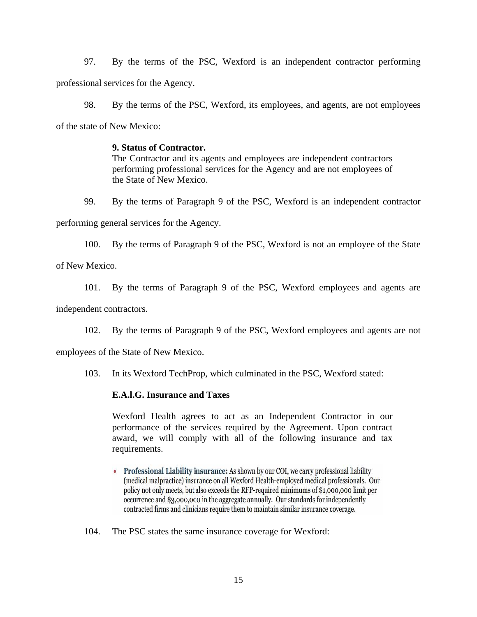97. By the terms of the PSC, Wexford is an independent contractor performing professional services for the Agency.

98. By the terms of the PSC, Wexford, its employees, and agents, are not employees of the state of New Mexico:

## **9. Status of Contractor.**

The Contractor and its agents and employees are independent contractors performing professional services for the Agency and are not employees of the State of New Mexico.

99. By the terms of Paragraph 9 of the PSC, Wexford is an independent contractor

performing general services for the Agency.

100. By the terms of Paragraph 9 of the PSC, Wexford is not an employee of the State

of New Mexico.

101. By the terms of Paragraph 9 of the PSC, Wexford employees and agents are

independent contractors.

102. By the terms of Paragraph 9 of the PSC, Wexford employees and agents are not

employees of the State of New Mexico.

103. In its Wexford TechProp, which culminated in the PSC, Wexford stated:

## **E.A.l.G. Insurance and Taxes**

Wexford Health agrees to act as an Independent Contractor in our performance of the services required by the Agreement. Upon contract award, we will comply with all of the following insurance and tax requirements.

- Professional Liability insurance: As shown by our COI, we carry professional liability (medical malpractice) insurance on all Wexford Health-employed medical professionals. Our policy not only meets, but also exceeds the RFP-required minimums of \$1,000,000 limit per occurrence and \$3,000,000 in the aggregate annually. Our standards for independently contracted firms and clinicians require them to maintain similar insurance coverage.
- 104. The PSC states the same insurance coverage for Wexford: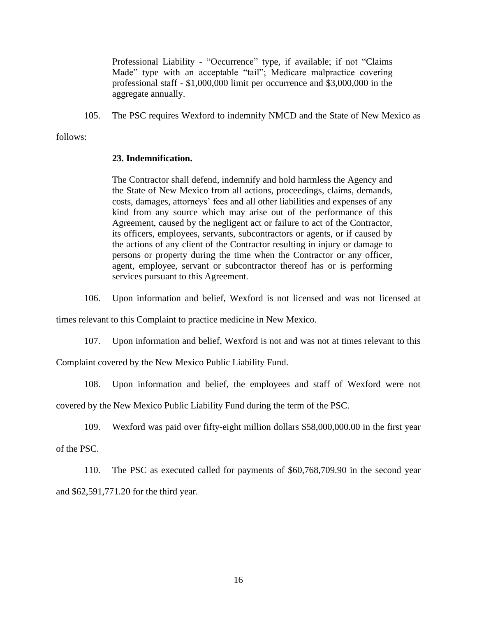Professional Liability - "Occurrence" type, if available; if not "Claims Made" type with an acceptable "tail"; Medicare malpractice covering professional staff - \$1,000,000 limit per occurrence and \$3,000,000 in the aggregate annually.

105. The PSC requires Wexford to indemnify NMCD and the State of New Mexico as

follows:

### **23. Indemnification.**

The Contractor shall defend, indemnify and hold harmless the Agency and the State of New Mexico from all actions, proceedings, claims, demands, costs, damages, attorneys' fees and all other liabilities and expenses of any kind from any source which may arise out of the performance of this Agreement, caused by the negligent act or failure to act of the Contractor, its officers, employees, servants, subcontractors or agents, or if caused by the actions of any client of the Contractor resulting in injury or damage to persons or property during the time when the Contractor or any officer, agent, employee, servant or subcontractor thereof has or is performing services pursuant to this Agreement.

106. Upon information and belief, Wexford is not licensed and was not licensed at

times relevant to this Complaint to practice medicine in New Mexico.

107. Upon information and belief, Wexford is not and was not at times relevant to this

Complaint covered by the New Mexico Public Liability Fund.

108. Upon information and belief, the employees and staff of Wexford were not

covered by the New Mexico Public Liability Fund during the term of the PSC.

109. Wexford was paid over fifty-eight million dollars \$58,000,000.00 in the first year

of the PSC.

110. The PSC as executed called for payments of \$60,768,709.90 in the second year and \$62,591,771.20 for the third year.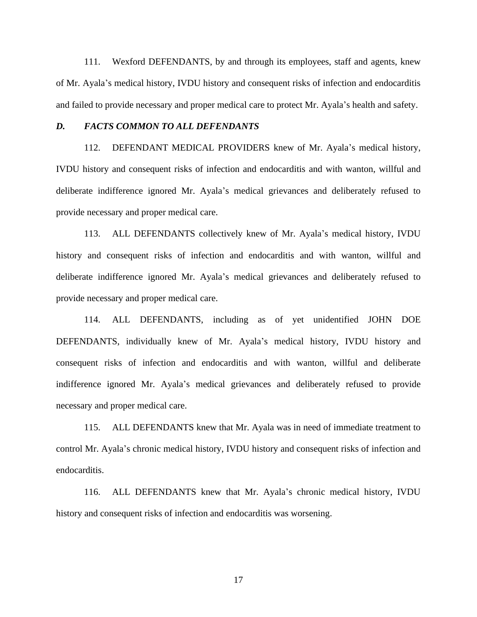111. Wexford DEFENDANTS, by and through its employees, staff and agents, knew of Mr. Ayala's medical history, IVDU history and consequent risks of infection and endocarditis and failed to provide necessary and proper medical care to protect Mr. Ayala's health and safety.

#### *D. FACTS COMMON TO ALL DEFENDANTS*

112. DEFENDANT MEDICAL PROVIDERS knew of Mr. Ayala's medical history, IVDU history and consequent risks of infection and endocarditis and with wanton, willful and deliberate indifference ignored Mr. Ayala's medical grievances and deliberately refused to provide necessary and proper medical care.

113. ALL DEFENDANTS collectively knew of Mr. Ayala's medical history, IVDU history and consequent risks of infection and endocarditis and with wanton, willful and deliberate indifference ignored Mr. Ayala's medical grievances and deliberately refused to provide necessary and proper medical care.

114. ALL DEFENDANTS, including as of yet unidentified JOHN DOE DEFENDANTS, individually knew of Mr. Ayala's medical history, IVDU history and consequent risks of infection and endocarditis and with wanton, willful and deliberate indifference ignored Mr. Ayala's medical grievances and deliberately refused to provide necessary and proper medical care.

115. ALL DEFENDANTS knew that Mr. Ayala was in need of immediate treatment to control Mr. Ayala's chronic medical history, IVDU history and consequent risks of infection and endocarditis.

116. ALL DEFENDANTS knew that Mr. Ayala's chronic medical history, IVDU history and consequent risks of infection and endocarditis was worsening.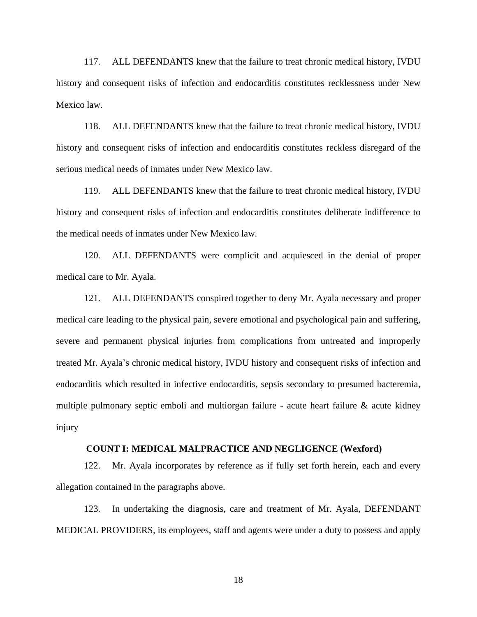117. ALL DEFENDANTS knew that the failure to treat chronic medical history, IVDU history and consequent risks of infection and endocarditis constitutes recklessness under New Mexico law.

118. ALL DEFENDANTS knew that the failure to treat chronic medical history, IVDU history and consequent risks of infection and endocarditis constitutes reckless disregard of the serious medical needs of inmates under New Mexico law.

119. ALL DEFENDANTS knew that the failure to treat chronic medical history, IVDU history and consequent risks of infection and endocarditis constitutes deliberate indifference to the medical needs of inmates under New Mexico law.

120. ALL DEFENDANTS were complicit and acquiesced in the denial of proper medical care to Mr. Ayala.

121. ALL DEFENDANTS conspired together to deny Mr. Ayala necessary and proper medical care leading to the physical pain, severe emotional and psychological pain and suffering, severe and permanent physical injuries from complications from untreated and improperly treated Mr. Ayala's chronic medical history, IVDU history and consequent risks of infection and endocarditis which resulted in infective endocarditis, sepsis secondary to presumed bacteremia, multiple pulmonary septic emboli and multiorgan failure - acute heart failure & acute kidney injury

#### **COUNT I: MEDICAL MALPRACTICE AND NEGLIGENCE (Wexford)**

122. Mr. Ayala incorporates by reference as if fully set forth herein, each and every allegation contained in the paragraphs above.

123. In undertaking the diagnosis, care and treatment of Mr. Ayala, DEFENDANT MEDICAL PROVIDERS, its employees, staff and agents were under a duty to possess and apply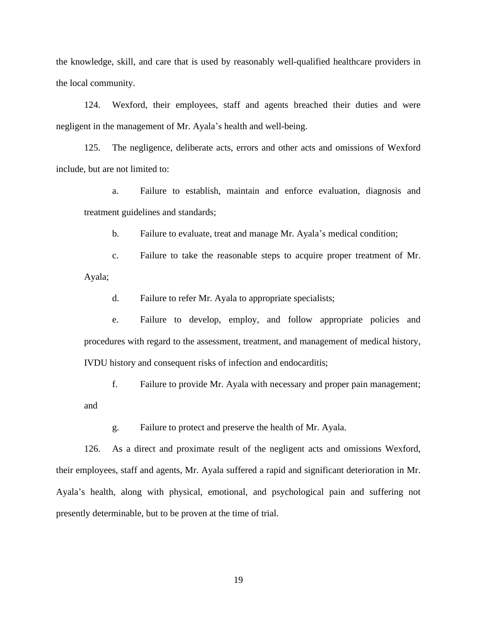the knowledge, skill, and care that is used by reasonably well-qualified healthcare providers in the local community.

124. Wexford, their employees, staff and agents breached their duties and were negligent in the management of Mr. Ayala's health and well-being.

125. The negligence, deliberate acts, errors and other acts and omissions of Wexford include, but are not limited to:

a. Failure to establish, maintain and enforce evaluation, diagnosis and treatment guidelines and standards;

b. Failure to evaluate, treat and manage Mr. Ayala's medical condition;

c. Failure to take the reasonable steps to acquire proper treatment of Mr. Ayala;

d. Failure to refer Mr. Ayala to appropriate specialists;

e. Failure to develop, employ, and follow appropriate policies and procedures with regard to the assessment, treatment, and management of medical history, IVDU history and consequent risks of infection and endocarditis;

f. Failure to provide Mr. Ayala with necessary and proper pain management; and

g. Failure to protect and preserve the health of Mr. Ayala.

126. As a direct and proximate result of the negligent acts and omissions Wexford, their employees, staff and agents, Mr. Ayala suffered a rapid and significant deterioration in Mr. Ayala's health, along with physical, emotional, and psychological pain and suffering not presently determinable, but to be proven at the time of trial.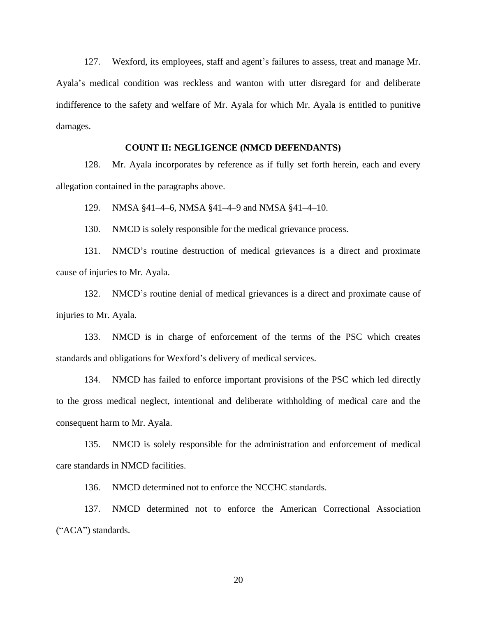127. Wexford, its employees, staff and agent's failures to assess, treat and manage Mr. Ayala's medical condition was reckless and wanton with utter disregard for and deliberate indifference to the safety and welfare of Mr. Ayala for which Mr. Ayala is entitled to punitive damages.

### **COUNT II: NEGLIGENCE (NMCD DEFENDANTS)**

128. Mr. Ayala incorporates by reference as if fully set forth herein, each and every allegation contained in the paragraphs above.

129. NMSA §41–4–6, NMSA §41–4–9 and NMSA §41–4–10.

130. NMCD is solely responsible for the medical grievance process.

131. NMCD's routine destruction of medical grievances is a direct and proximate cause of injuries to Mr. Ayala.

132. NMCD's routine denial of medical grievances is a direct and proximate cause of injuries to Mr. Ayala.

133. NMCD is in charge of enforcement of the terms of the PSC which creates standards and obligations for Wexford's delivery of medical services.

134. NMCD has failed to enforce important provisions of the PSC which led directly to the gross medical neglect, intentional and deliberate withholding of medical care and the consequent harm to Mr. Ayala.

135. NMCD is solely responsible for the administration and enforcement of medical care standards in NMCD facilities.

136. NMCD determined not to enforce the NCCHC standards.

137. NMCD determined not to enforce the American Correctional Association ("ACA") standards.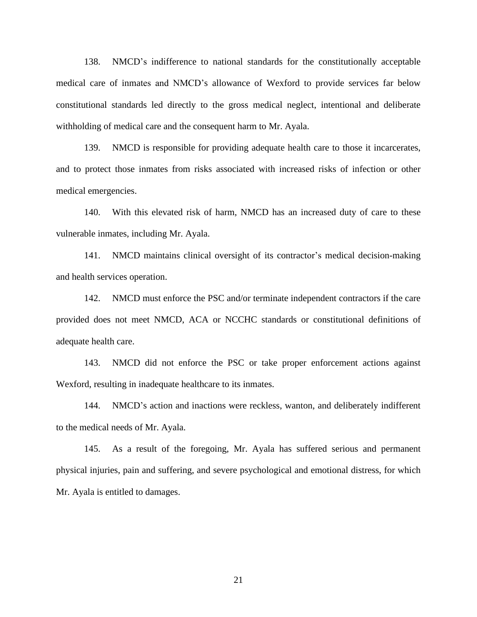138. NMCD's indifference to national standards for the constitutionally acceptable medical care of inmates and NMCD's allowance of Wexford to provide services far below constitutional standards led directly to the gross medical neglect, intentional and deliberate withholding of medical care and the consequent harm to Mr. Ayala.

139. NMCD is responsible for providing adequate health care to those it incarcerates, and to protect those inmates from risks associated with increased risks of infection or other medical emergencies.

140. With this elevated risk of harm, NMCD has an increased duty of care to these vulnerable inmates, including Mr. Ayala.

141. NMCD maintains clinical oversight of its contractor's medical decision-making and health services operation.

142. NMCD must enforce the PSC and/or terminate independent contractors if the care provided does not meet NMCD, ACA or NCCHC standards or constitutional definitions of adequate health care.

143. NMCD did not enforce the PSC or take proper enforcement actions against Wexford, resulting in inadequate healthcare to its inmates.

144. NMCD's action and inactions were reckless, wanton, and deliberately indifferent to the medical needs of Mr. Ayala.

145. As a result of the foregoing, Mr. Ayala has suffered serious and permanent physical injuries, pain and suffering, and severe psychological and emotional distress, for which Mr. Ayala is entitled to damages.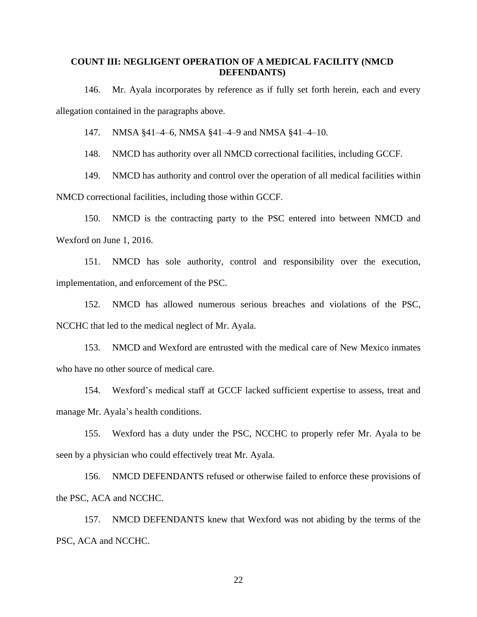### **COUNT III: NEGLIGENT OPERATION OF A MEDICAL FACILITY (NMCD DEFENDANTS)**

146. Mr. Ayala incorporates by reference as if fully set forth herein, each and every allegation contained in the paragraphs above.

147. NMSA §41–4–6, NMSA §41–4–9 and NMSA §41–4–10.

148. NMCD has authority over all NMCD correctional facilities, including GCCF.

149. NMCD has authority and control over the operation of all medical facilities within

NMCD correctional facilities, including those within GCCF.

150. NMCD is the contracting party to the PSC entered into between NMCD and Wexford on June 1, 2016.

151. NMCD has sole authority, control and responsibility over the execution, implementation, and enforcement of the PSC.

152. NMCD has allowed numerous serious breaches and violations of the PSC, NCCHC that led to the medical neglect of Mr. Ayala.

153. NMCD and Wexford are entrusted with the medical care of New Mexico inmates who have no other source of medical care.

154. Wexford's medical staff at GCCF lacked sufficient expertise to assess, treat and manage Mr. Ayala's health conditions.

155. Wexford has a duty under the PSC, NCCHC to properly refer Mr. Ayala to be seen by a physician who could effectively treat Mr. Ayala.

156. NMCD DEFENDANTS refused or otherwise failed to enforce these provisions of the PSC, ACA and NCCHC.

157. NMCD DEFENDANTS knew that Wexford was not abiding by the terms of the PSC, ACA and NCCHC.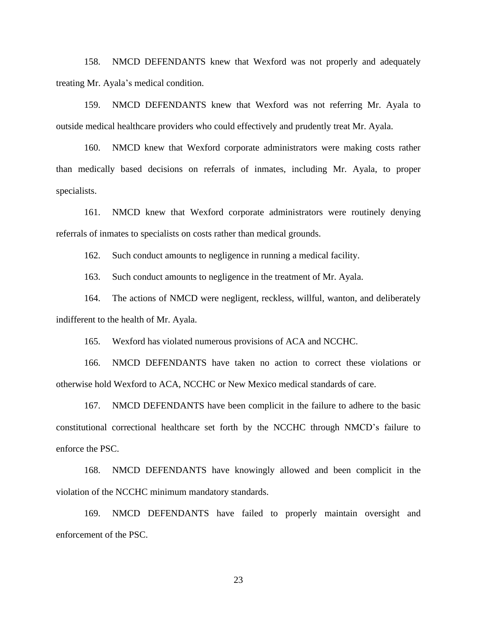158. NMCD DEFENDANTS knew that Wexford was not properly and adequately treating Mr. Ayala's medical condition.

159. NMCD DEFENDANTS knew that Wexford was not referring Mr. Ayala to outside medical healthcare providers who could effectively and prudently treat Mr. Ayala.

160. NMCD knew that Wexford corporate administrators were making costs rather than medically based decisions on referrals of inmates, including Mr. Ayala, to proper specialists.

161. NMCD knew that Wexford corporate administrators were routinely denying referrals of inmates to specialists on costs rather than medical grounds.

162. Such conduct amounts to negligence in running a medical facility.

163. Such conduct amounts to negligence in the treatment of Mr. Ayala.

164. The actions of NMCD were negligent, reckless, willful, wanton, and deliberately indifferent to the health of Mr. Ayala.

165. Wexford has violated numerous provisions of ACA and NCCHC.

166. NMCD DEFENDANTS have taken no action to correct these violations or otherwise hold Wexford to ACA, NCCHC or New Mexico medical standards of care.

167. NMCD DEFENDANTS have been complicit in the failure to adhere to the basic constitutional correctional healthcare set forth by the NCCHC through NMCD's failure to enforce the PSC.

168. NMCD DEFENDANTS have knowingly allowed and been complicit in the violation of the NCCHC minimum mandatory standards.

169. NMCD DEFENDANTS have failed to properly maintain oversight and enforcement of the PSC.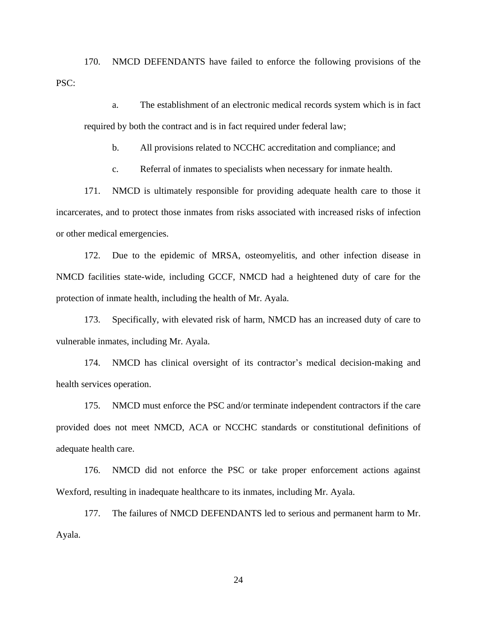170. NMCD DEFENDANTS have failed to enforce the following provisions of the PSC:

a. The establishment of an electronic medical records system which is in fact required by both the contract and is in fact required under federal law;

b. All provisions related to NCCHC accreditation and compliance; and

c. Referral of inmates to specialists when necessary for inmate health.

171. NMCD is ultimately responsible for providing adequate health care to those it incarcerates, and to protect those inmates from risks associated with increased risks of infection or other medical emergencies.

172. Due to the epidemic of MRSA, osteomyelitis, and other infection disease in NMCD facilities state-wide, including GCCF, NMCD had a heightened duty of care for the protection of inmate health, including the health of Mr. Ayala.

173. Specifically, with elevated risk of harm, NMCD has an increased duty of care to vulnerable inmates, including Mr. Ayala.

174. NMCD has clinical oversight of its contractor's medical decision-making and health services operation.

175. NMCD must enforce the PSC and/or terminate independent contractors if the care provided does not meet NMCD, ACA or NCCHC standards or constitutional definitions of adequate health care.

176. NMCD did not enforce the PSC or take proper enforcement actions against Wexford, resulting in inadequate healthcare to its inmates, including Mr. Ayala.

177. The failures of NMCD DEFENDANTS led to serious and permanent harm to Mr. Ayala.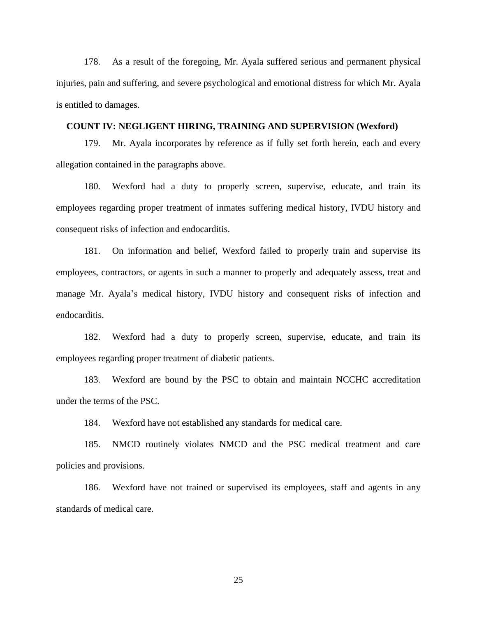178. As a result of the foregoing, Mr. Ayala suffered serious and permanent physical injuries, pain and suffering, and severe psychological and emotional distress for which Mr. Ayala is entitled to damages.

#### **COUNT IV: NEGLIGENT HIRING, TRAINING AND SUPERVISION (Wexford)**

179. Mr. Ayala incorporates by reference as if fully set forth herein, each and every allegation contained in the paragraphs above.

180. Wexford had a duty to properly screen, supervise, educate, and train its employees regarding proper treatment of inmates suffering medical history, IVDU history and consequent risks of infection and endocarditis.

181. On information and belief, Wexford failed to properly train and supervise its employees, contractors, or agents in such a manner to properly and adequately assess, treat and manage Mr. Ayala's medical history, IVDU history and consequent risks of infection and endocarditis.

182. Wexford had a duty to properly screen, supervise, educate, and train its employees regarding proper treatment of diabetic patients.

183. Wexford are bound by the PSC to obtain and maintain NCCHC accreditation under the terms of the PSC.

184. Wexford have not established any standards for medical care.

185. NMCD routinely violates NMCD and the PSC medical treatment and care policies and provisions.

186. Wexford have not trained or supervised its employees, staff and agents in any standards of medical care.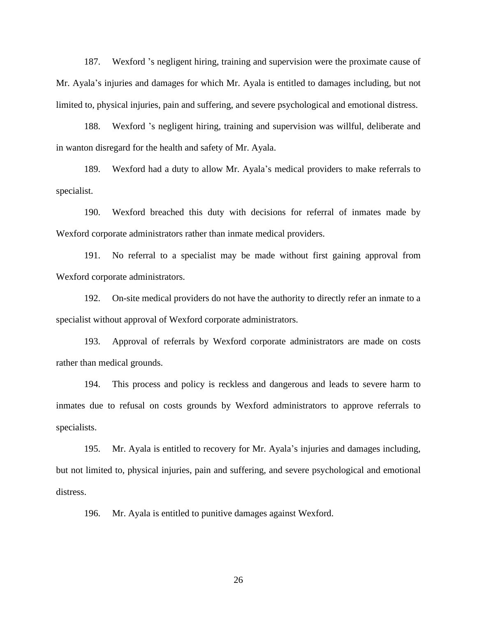187. Wexford 's negligent hiring, training and supervision were the proximate cause of Mr. Ayala's injuries and damages for which Mr. Ayala is entitled to damages including, but not limited to, physical injuries, pain and suffering, and severe psychological and emotional distress.

188. Wexford 's negligent hiring, training and supervision was willful, deliberate and in wanton disregard for the health and safety of Mr. Ayala.

189. Wexford had a duty to allow Mr. Ayala's medical providers to make referrals to specialist.

190. Wexford breached this duty with decisions for referral of inmates made by Wexford corporate administrators rather than inmate medical providers.

191. No referral to a specialist may be made without first gaining approval from Wexford corporate administrators.

192. On-site medical providers do not have the authority to directly refer an inmate to a specialist without approval of Wexford corporate administrators.

193. Approval of referrals by Wexford corporate administrators are made on costs rather than medical grounds.

194. This process and policy is reckless and dangerous and leads to severe harm to inmates due to refusal on costs grounds by Wexford administrators to approve referrals to specialists.

195. Mr. Ayala is entitled to recovery for Mr. Ayala's injuries and damages including, but not limited to, physical injuries, pain and suffering, and severe psychological and emotional distress.

196. Mr. Ayala is entitled to punitive damages against Wexford.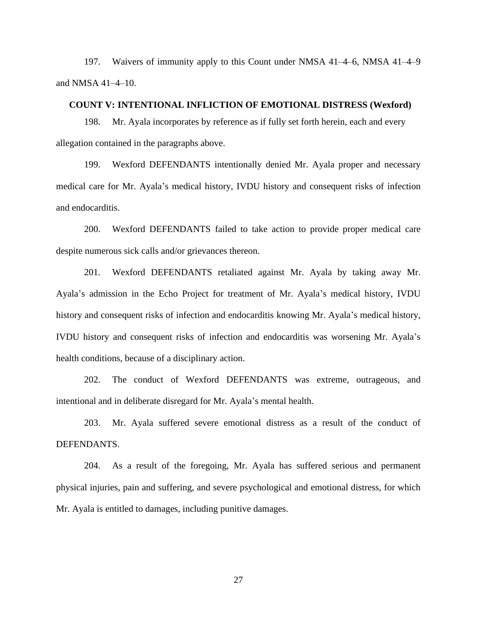197. Waivers of immunity apply to this Count under NMSA 41–4–6, NMSA 41–4–9 and NMSA 41–4–10.

#### **COUNT V: INTENTIONAL INFLICTION OF EMOTIONAL DISTRESS (Wexford)**

198. Mr. Ayala incorporates by reference as if fully set forth herein, each and every allegation contained in the paragraphs above.

199. Wexford DEFENDANTS intentionally denied Mr. Ayala proper and necessary medical care for Mr. Ayala's medical history, IVDU history and consequent risks of infection and endocarditis.

200. Wexford DEFENDANTS failed to take action to provide proper medical care despite numerous sick calls and/or grievances thereon.

201. Wexford DEFENDANTS retaliated against Mr. Ayala by taking away Mr. Ayala's admission in the Echo Project for treatment of Mr. Ayala's medical history, IVDU history and consequent risks of infection and endocarditis knowing Mr. Ayala's medical history, IVDU history and consequent risks of infection and endocarditis was worsening Mr. Ayala's health conditions, because of a disciplinary action.

202. The conduct of Wexford DEFENDANTS was extreme, outrageous, and intentional and in deliberate disregard for Mr. Ayala's mental health.

203. Mr. Ayala suffered severe emotional distress as a result of the conduct of DEFENDANTS.

204. As a result of the foregoing, Mr. Ayala has suffered serious and permanent physical injuries, pain and suffering, and severe psychological and emotional distress, for which Mr. Ayala is entitled to damages, including punitive damages.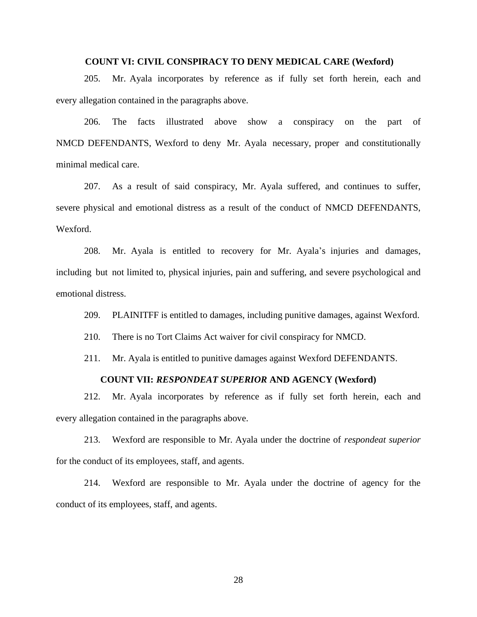### **COUNT VI: CIVIL CONSPIRACY TO DENY MEDICAL CARE (Wexford)**

205. Mr. Ayala incorporates by reference as if fully set forth herein, each and every allegation contained in the paragraphs above.

206. The facts illustrated above show a conspiracy on the part of NMCD DEFENDANTS, Wexford to deny Mr. Ayala necessary, proper and constitutionally minimal medical care.

207. As a result of said conspiracy, Mr. Ayala suffered, and continues to suffer, severe physical and emotional distress as a result of the conduct of NMCD DEFENDANTS, Wexford.

208. Mr. Ayala is entitled to recovery for Mr. Ayala's injuries and damages, including but not limited to, physical injuries, pain and suffering, and severe psychological and emotional distress.

209. PLAINITFF is entitled to damages, including punitive damages, against Wexford.

210. There is no Tort Claims Act waiver for civil conspiracy for NMCD.

211. Mr. Ayala is entitled to punitive damages against Wexford DEFENDANTS.

## **COUNT VII:** *RESPONDEAT SUPERIOR* **AND AGENCY (Wexford)**

212. Mr. Ayala incorporates by reference as if fully set forth herein, each and every allegation contained in the paragraphs above.

213. Wexford are responsible to Mr. Ayala under the doctrine of *respondeat superior* for the conduct of its employees, staff, and agents.

214. Wexford are responsible to Mr. Ayala under the doctrine of agency for the conduct of its employees, staff, and agents.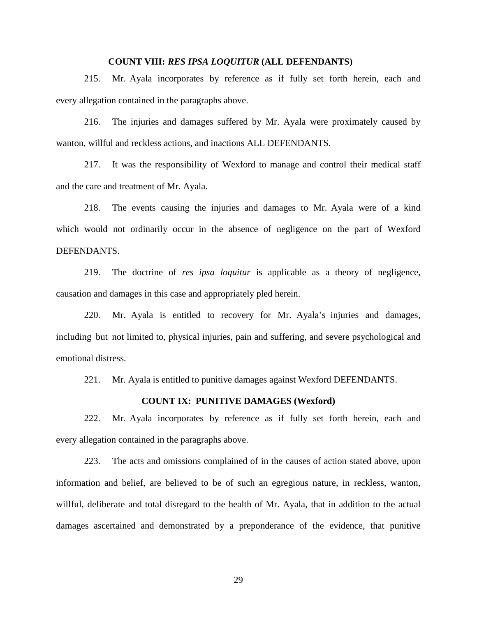### **COUNT VIII:** *RES IPSA LOQUITUR* **(ALL DEFENDANTS)**

215. Mr. Ayala incorporates by reference as if fully set forth herein, each and every allegation contained in the paragraphs above.

216. The injuries and damages suffered by Mr. Ayala were proximately caused by wanton, willful and reckless actions, and inactions ALL DEFENDANTS.

217. It was the responsibility of Wexford to manage and control their medical staff and the care and treatment of Mr. Ayala.

218. The events causing the injuries and damages to Mr. Ayala were of a kind which would not ordinarily occur in the absence of negligence on the part of Wexford DEFENDANTS.

219. The doctrine of *res ipsa loquitur* is applicable as a theory of negligence, causation and damages in this case and appropriately pled herein.

220. Mr. Ayala is entitled to recovery for Mr. Ayala's injuries and damages, including but not limited to, physical injuries, pain and suffering, and severe psychological and emotional distress.

221. Mr. Ayala is entitled to punitive damages against Wexford DEFENDANTS.

#### **COUNT IX: PUNITIVE DAMAGES (Wexford)**

222. Mr. Ayala incorporates by reference as if fully set forth herein, each and every allegation contained in the paragraphs above.

223. The acts and omissions complained of in the causes of action stated above, upon information and belief, are believed to be of such an egregious nature, in reckless, wanton, willful, deliberate and total disregard to the health of Mr. Ayala, that in addition to the actual damages ascertained and demonstrated by a preponderance of the evidence, that punitive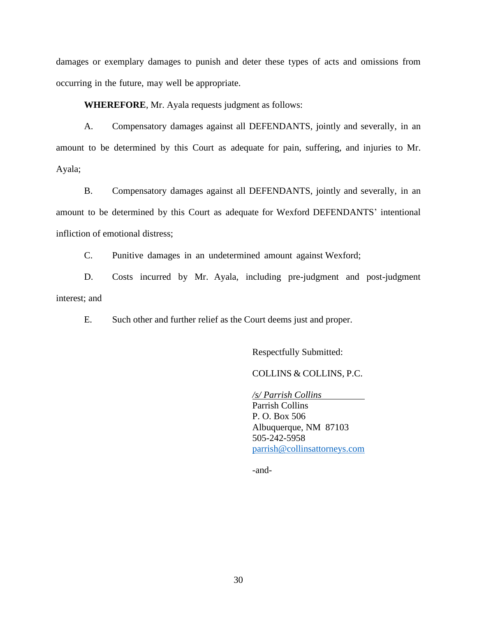damages or exemplary damages to punish and deter these types of acts and omissions from occurring in the future, may well be appropriate.

**WHEREFORE**, Mr. Ayala requests judgment as follows:

A. Compensatory damages against all DEFENDANTS, jointly and severally, in an amount to be determined by this Court as adequate for pain, suffering, and injuries to Mr. Ayala;

B. Compensatory damages against all DEFENDANTS, jointly and severally, in an amount to be determined by this Court as adequate for Wexford DEFENDANTS' intentional infliction of emotional distress;

C. Punitive damages in an undetermined amount against Wexford;

D. Costs incurred by Mr. Ayala, including pre-judgment and post-judgment interest; and

E. Such other and further relief as the Court deems just and proper.

Respectfully Submitted:

## COLLINS & COLLINS, P.C.

*/s/ Parrish Collins* Parrish Collins P. O. Box 506 Albuquerque, NM 87103 505-242-5958 [parrish@collinsattorneys.com](mailto:parrish@collinsattorneys.com)

-and-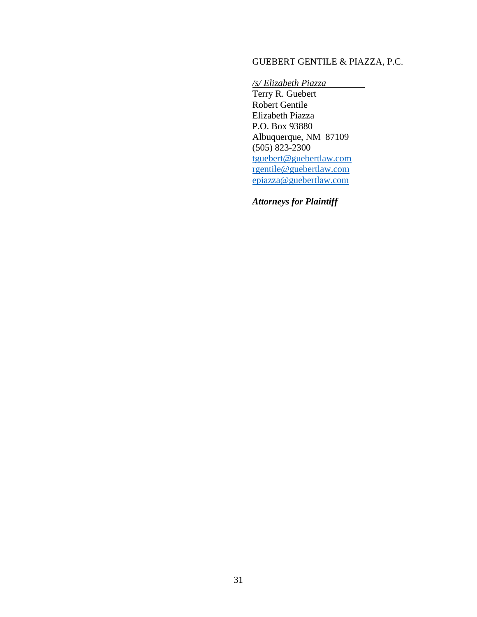# GUEBERT GENTILE & PIAZZA, P.C.

*/s/ Elizabeth Piazza*

Terry R. Guebert Robert Gentile Elizabeth Piazza P.O. Box 93880 Albuquerque, NM 87109 (505) 823-2300 [tguebert@guebertlaw.com](mailto:tguebert@guebertlaw.com) [rgentile@guebertlaw.com](mailto:rgentile@guebertlaw.com) [epiazza@guebertlaw.com](mailto:epiazza@guebertlaw.com)

*Attorneys for Plaintiff*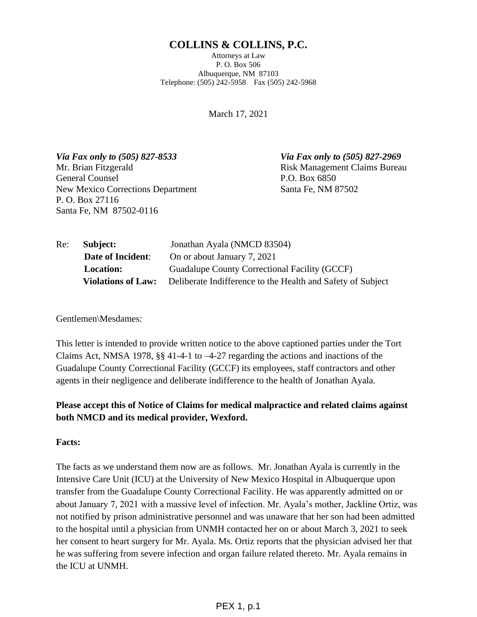# **COLLINS & COLLINS, P.C.**

Attorneys at Law P. O. Box 506 Albuquerque, NM 87103 Telephone: (505) 242-5958 Fax (505) 242-5968

March 17, 2021

*Via Fax only to (505) 827-8533 Via Fax only to (505) 827-2969* Mr. Brian Fitzgerald **Risk Management Claims Bureau** General Counsel **Counsel Counsel** P.O. Box 6850 New Mexico Corrections Department Santa Fe, NM 87502 P. O. Box 27116 Santa Fe, NM 87502-0116

| Re: | Subject:                  | Jonathan Ayala (NMCD 83504)                                 |
|-----|---------------------------|-------------------------------------------------------------|
|     | <b>Date of Incident:</b>  | On or about January 7, 2021                                 |
|     | <b>Location:</b>          | Guadalupe County Correctional Facility (GCCF)               |
|     | <b>Violations of Law:</b> | Deliberate Indifference to the Health and Safety of Subject |

Gentlemen\Mesdames:

This letter is intended to provide written notice to the above captioned parties under the Tort Claims Act, NMSA 1978, §§ 41-4-1 to –4-27 regarding the actions and inactions of the Guadalupe County Correctional Facility (GCCF) its employees, staff contractors and other agents in their negligence and deliberate indifference to the health of Jonathan Ayala.

# **Please accept this of Notice of Claims for medical malpractice and related claims against both NMCD and its medical provider, Wexford.**

## **Facts:**

The facts as we understand them now are as follows. Mr. Jonathan Ayala is currently in the Intensive Care Unit (ICU) at the University of New Mexico Hospital in Albuquerque upon transfer from the Guadalupe County Correctional Facility. He was apparently admitted on or about January 7, 2021 with a massive level of infection. Mr. Ayala's mother, Jackline Ortiz, was not notified by prison administrative personnel and was unaware that her son had been admitted to the hospital until a physician from UNMH contacted her on or about March 3, 2021 to seek her consent to heart surgery for Mr. Ayala. Ms. Ortiz reports that the physician advised her that he was suffering from severe infection and organ failure related thereto. Mr. Ayala remains in the ICU at UNMH.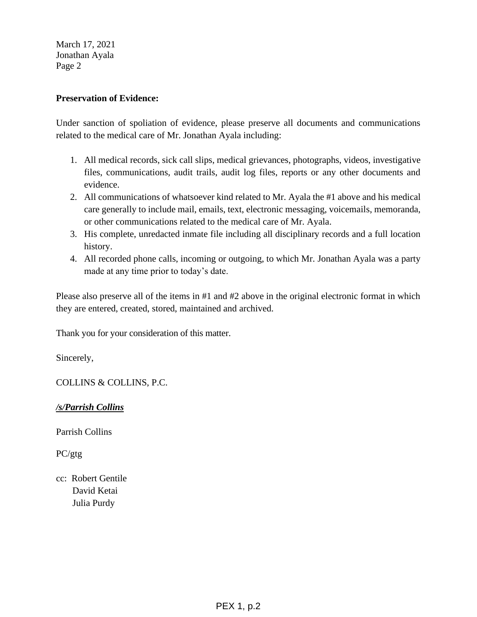March 17, 2021 Jonathan Ayala Page 2

## **Preservation of Evidence:**

Under sanction of spoliation of evidence, please preserve all documents and communications related to the medical care of Mr. Jonathan Ayala including:

- 1. All medical records, sick call slips, medical grievances, photographs, videos, investigative files, communications, audit trails, audit log files, reports or any other documents and evidence.
- 2. All communications of whatsoever kind related to Mr. Ayala the #1 above and his medical care generally to include mail, emails, text, electronic messaging, voicemails, memoranda, or other communications related to the medical care of Mr. Ayala.
- 3. His complete, unredacted inmate file including all disciplinary records and a full location history.
- 4. All recorded phone calls, incoming or outgoing, to which Mr. Jonathan Ayala was a party made at any time prior to today's date.

Please also preserve all of the items in #1 and #2 above in the original electronic format in which they are entered, created, stored, maintained and archived.

Thank you for your consideration of this matter.

Sincerely,

COLLINS & COLLINS, P.C.

*/s/Parrish Collins*

Parrish Collins

PC/gtg

cc: Robert Gentile David Ketai Julia Purdy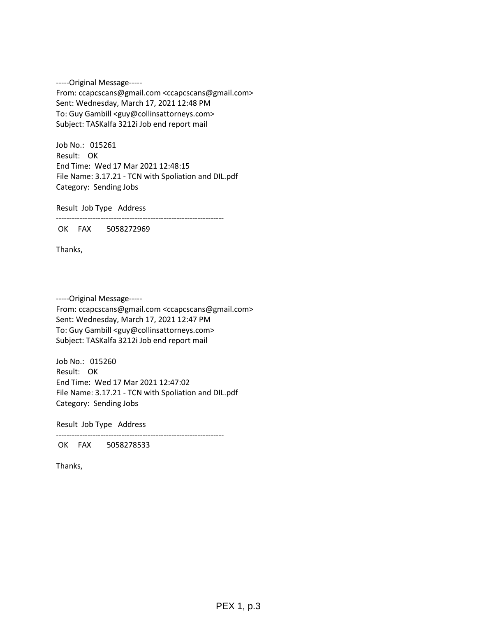-----Original Message----- From: ccapcscans@gmail.com <ccapcscans@gmail.com> Sent: Wednesday, March 17, 2021 12:48 PM To: Guy Gambill <guy@collinsattorneys.com> Subject: TASKalfa 3212i Job end report mail

Job No.: 015261 Result: OK End Time: Wed 17 Mar 2021 12:48:15 File Name: 3.17.21 - TCN with Spoliation and DIL.pdf Category: Sending Jobs

Result Job Type Address

----------------------------------------------------------------

OK FAX 5058272969

Thanks,

-----Original Message----- From: ccapcscans@gmail.com <ccapcscans@gmail.com> Sent: Wednesday, March 17, 2021 12:47 PM To: Guy Gambill <guy@collinsattorneys.com> Subject: TASKalfa 3212i Job end report mail

Job No.: 015260 Result: OK End Time: Wed 17 Mar 2021 12:47:02 File Name: 3.17.21 - TCN with Spoliation and DIL.pdf Category: Sending Jobs

Result Job Type Address

----------------------------------------------------------------

OK FAX 5058278533

Thanks,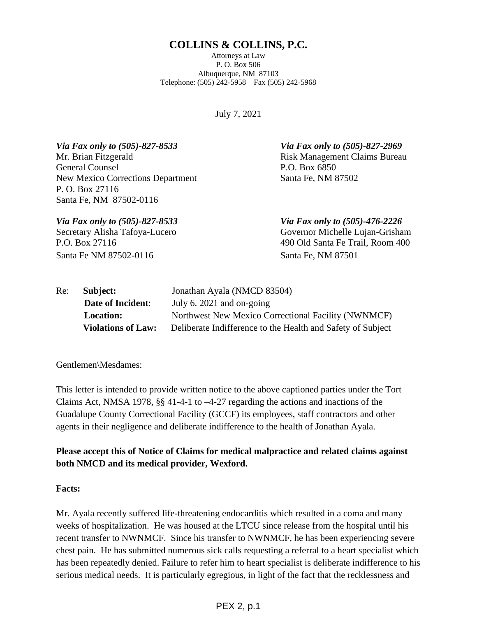## **COLLINS & COLLINS, P.C.**

Attorneys at Law P. O. Box 506 Albuquerque, NM 87103 Telephone: (505) 242-5958 Fax (505) 242-5968

July 7, 2021

*Via Fax only to (505)-827-8533 Via Fax only to (505)-827-2969* Mr. Brian Fitzgerald **Risk Management Claims Bureau** General Counsel **Counsel Counsel** P.O. Box 6850 New Mexico Corrections Department Santa Fe, NM 87502 P. O. Box 27116 Santa Fe, NM 87502-0116

Santa Fe NM 87502-0116 Santa Fe, NM 87501

*Via Fax only to (505)-827-8533 Via Fax only to (505)-476-2226* Secretary Alisha Tafoya-Lucero Governor Michelle Lujan-Grisham P.O. Box 27116 490 Old Santa Fe Trail, Room 400

| Re: | Subject:                  | Jonathan Ayala (NMCD 83504)                                 |  |
|-----|---------------------------|-------------------------------------------------------------|--|
|     | <b>Date of Incident:</b>  | July 6. $2021$ and on-going                                 |  |
|     | <b>Location:</b>          | Northwest New Mexico Correctional Facility (NWNMCF)         |  |
|     | <b>Violations of Law:</b> | Deliberate Indifference to the Health and Safety of Subject |  |

Gentlemen\Mesdames:

This letter is intended to provide written notice to the above captioned parties under the Tort Claims Act, NMSA 1978, §§ 41-4-1 to –4-27 regarding the actions and inactions of the Guadalupe County Correctional Facility (GCCF) its employees, staff contractors and other agents in their negligence and deliberate indifference to the health of Jonathan Ayala.

**Please accept this of Notice of Claims for medical malpractice and related claims against both NMCD and its medical provider, Wexford.**

## **Facts:**

Mr. Ayala recently suffered life-threatening endocarditis which resulted in a coma and many weeks of hospitalization. He was housed at the LTCU since release from the hospital until his recent transfer to NWNMCF. Since his transfer to NWNMCF, he has been experiencing severe chest pain. He has submitted numerous sick calls requesting a referral to a heart specialist which has been repeatedly denied. Failure to refer him to heart specialist is deliberate indifference to his serious medical needs. It is particularly egregious, in light of the fact that the recklessness and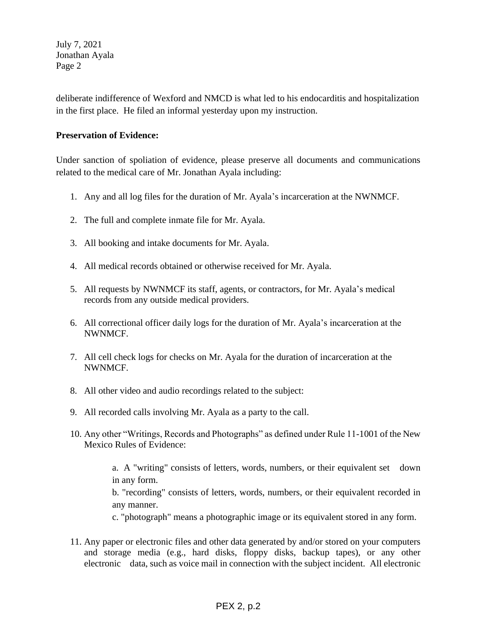July 7, 2021 Jonathan Ayala Page 2

deliberate indifference of Wexford and NMCD is what led to his endocarditis and hospitalization in the first place. He filed an informal yesterday upon my instruction.

## **Preservation of Evidence:**

Under sanction of spoliation of evidence, please preserve all documents and communications related to the medical care of Mr. Jonathan Ayala including:

- 1. Any and all log files for the duration of Mr. Ayala's incarceration at the NWNMCF.
- 2. The full and complete inmate file for Mr. Ayala.
- 3. All booking and intake documents for Mr. Ayala.
- 4. All medical records obtained or otherwise received for Mr. Ayala.
- 5. All requests by NWNMCF its staff, agents, or contractors, for Mr. Ayala's medical records from any outside medical providers.
- 6. All correctional officer daily logs for the duration of Mr. Ayala's incarceration at the NWNMCF.
- 7. All cell check logs for checks on Mr. Ayala for the duration of incarceration at the NWNMCF.
- 8. All other video and audio recordings related to the subject:
- 9. All recorded calls involving Mr. Ayala as a party to the call.
- 10. Any other "Writings, Records and Photographs" as defined under Rule 11-1001 of the New Mexico Rules of Evidence:

a. A "writing" consists of letters, words, numbers, or their equivalent set down in any form. b. "recording" consists of letters, words, numbers, or their equivalent recorded in any manner.

c. "photograph" means a photographic image or its equivalent stored in any form.

11. Any paper or electronic files and other data generated by and/or stored on your computers and storage media (e.g., hard disks, floppy disks, backup tapes), or any other electronic data, such as voice mail in connection with the subject incident. All electronic

# PEX 2, p.2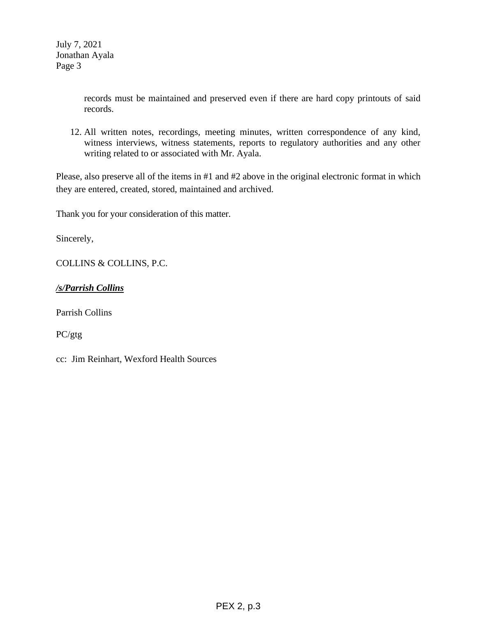records must be maintained and preserved even if there are hard copy printouts of said records.

12. All written notes, recordings, meeting minutes, written correspondence of any kind, witness interviews, witness statements, reports to regulatory authorities and any other writing related to or associated with Mr. Ayala.

Please, also preserve all of the items in #1 and #2 above in the original electronic format in which they are entered, created, stored, maintained and archived.

Thank you for your consideration of this matter.

Sincerely,

COLLINS & COLLINS, P.C.

*/s/Parrish Collins*

Parrish Collins

PC/gtg

cc: Jim Reinhart, Wexford Health Sources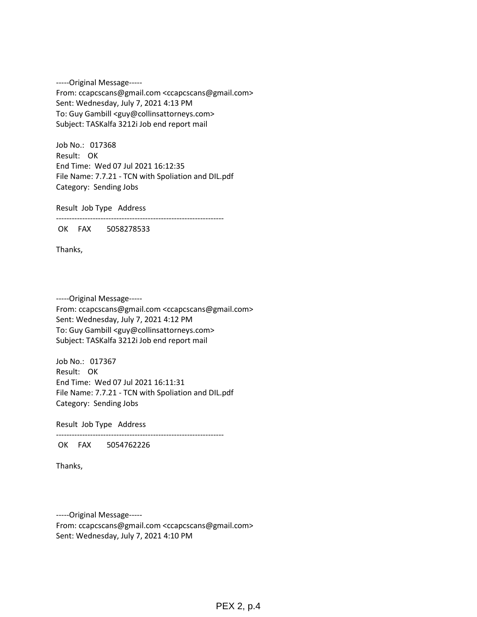-----Original Message----- From: ccapcscans@gmail.com <ccapcscans@gmail.com> Sent: Wednesday, July 7, 2021 4:13 PM To: Guy Gambill <guy@collinsattorneys.com> Subject: TASKalfa 3212i Job end report mail

Job No.: 017368 Result: OK End Time: Wed 07 Jul 2021 16:12:35 File Name: 7.7.21 - TCN with Spoliation and DIL.pdf Category: Sending Jobs

Result Job Type Address

----------------------------------------------------------------

OK FAX 5058278533

Thanks,

-----Original Message----- From: ccapcscans@gmail.com <ccapcscans@gmail.com> Sent: Wednesday, July 7, 2021 4:12 PM To: Guy Gambill <guy@collinsattorneys.com> Subject: TASKalfa 3212i Job end report mail

Job No.: 017367 Result: OK End Time: Wed 07 Jul 2021 16:11:31 File Name: 7.7.21 - TCN with Spoliation and DIL.pdf Category: Sending Jobs

Result Job Type Address

----------------------------------------------------------------

OK FAX 5054762226

Thanks,

-----Original Message----- From: ccapcscans@gmail.com <ccapcscans@gmail.com> Sent: Wednesday, July 7, 2021 4:10 PM